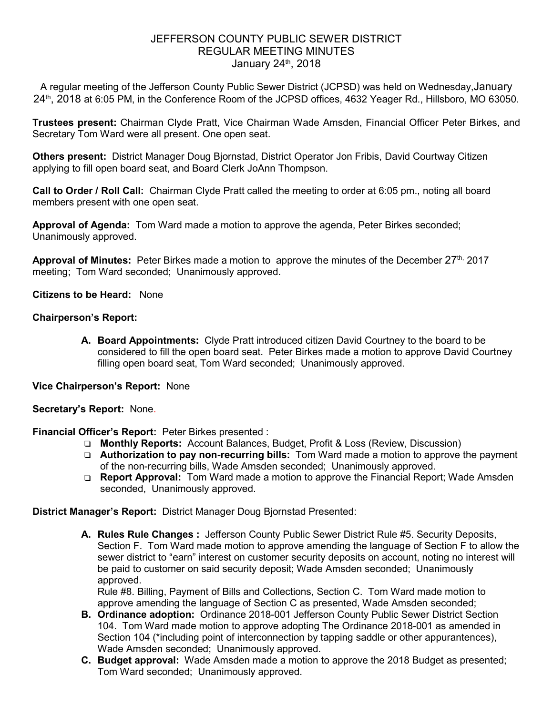## JEFFERSON COUNTY PUBLIC SEWER DISTRICT REGULAR MEETING MINUTES January 24<sup>th</sup>, 2018

A regular meeting of the Jefferson County Public Sewer District (JCPSD) was held on Wednesday,January 24<sup>th</sup>, 2018 at 6:05 PM, in the Conference Room of the JCPSD offices, 4632 Yeager Rd., Hillsboro, MO 63050.

**Trustees present:** Chairman Clyde Pratt, Vice Chairman Wade Amsden, Financial Officer Peter Birkes, and Secretary Tom Ward were all present. One open seat.

**Others present:** District Manager Doug Bjornstad, District Operator Jon Fribis, David Courtway Citizen applying to fill open board seat, and Board Clerk JoAnn Thompson.

**Call to Order / Roll Call:** Chairman Clyde Pratt called the meeting to order at 6:05 pm., noting all board members present with one open seat.

**Approval of Agenda:** Tom Ward made a motion to approve the agenda, Peter Birkes seconded; Unanimously approved.

Approval of Minutes: Peter Birkes made a motion to approve the minutes of the December 27<sup>th,</sup> 2017 meeting; Tom Ward seconded; Unanimously approved.

**Citizens to be Heard:** None

### **Chairperson's Report:**

**A. Board Appointments:** Clyde Pratt introduced citizen David Courtney to the board to be considered to fill the open board seat. Peter Birkes made a motion to approve David Courtney filling open board seat, Tom Ward seconded; Unanimously approved.

**Vice Chairperson's Report:** None

### **Secretary's Report:** None.

- **Financial Officer's Report:** Peter Birkes presented :
	- ❏ **Monthly Reports:** Account Balances, Budget, Profit & Loss (Review, Discussion)
	- ❏ **Authorization to pay non-recurring bills:** Tom Ward made a motion to approve the payment of the non-recurring bills, Wade Amsden seconded; Unanimously approved.
	- ❏ **Report Approval:** Tom Ward made a motion to approve the Financial Report; Wade Amsden seconded, Unanimously approved.

**District Manager's Report:** District Manager Doug Bjornstad Presented:

**A. Rules Rule Changes :** Jefferson County Public Sewer District Rule #5. Security Deposits, Section F.Tom Ward made motion to approve amending the language of Section F to allow the sewer district to "earn" interest on customer security deposits on account, noting no interest will be paid to customer on said security deposit; Wade Amsden seconded; Unanimously approved.

Rule #8. Billing, Payment of Bills and Collections, Section C. Tom Ward made motion to approve amending the language of Section C as presented, Wade Amsden seconded;

- **B. Ordinance adoption:** Ordinance 2018-001 Jefferson County Public Sewer District Section 104. Tom Ward made motion to approve adopting The Ordinance 2018-001 as amended in Section 104 (\*including point of interconnection by tapping saddle or other appurantences), Wade Amsden seconded; Unanimously approved.
- **C. Budget approval:** Wade Amsden made a motion to approve the 2018 Budget as presented; Tom Ward seconded; Unanimously approved.